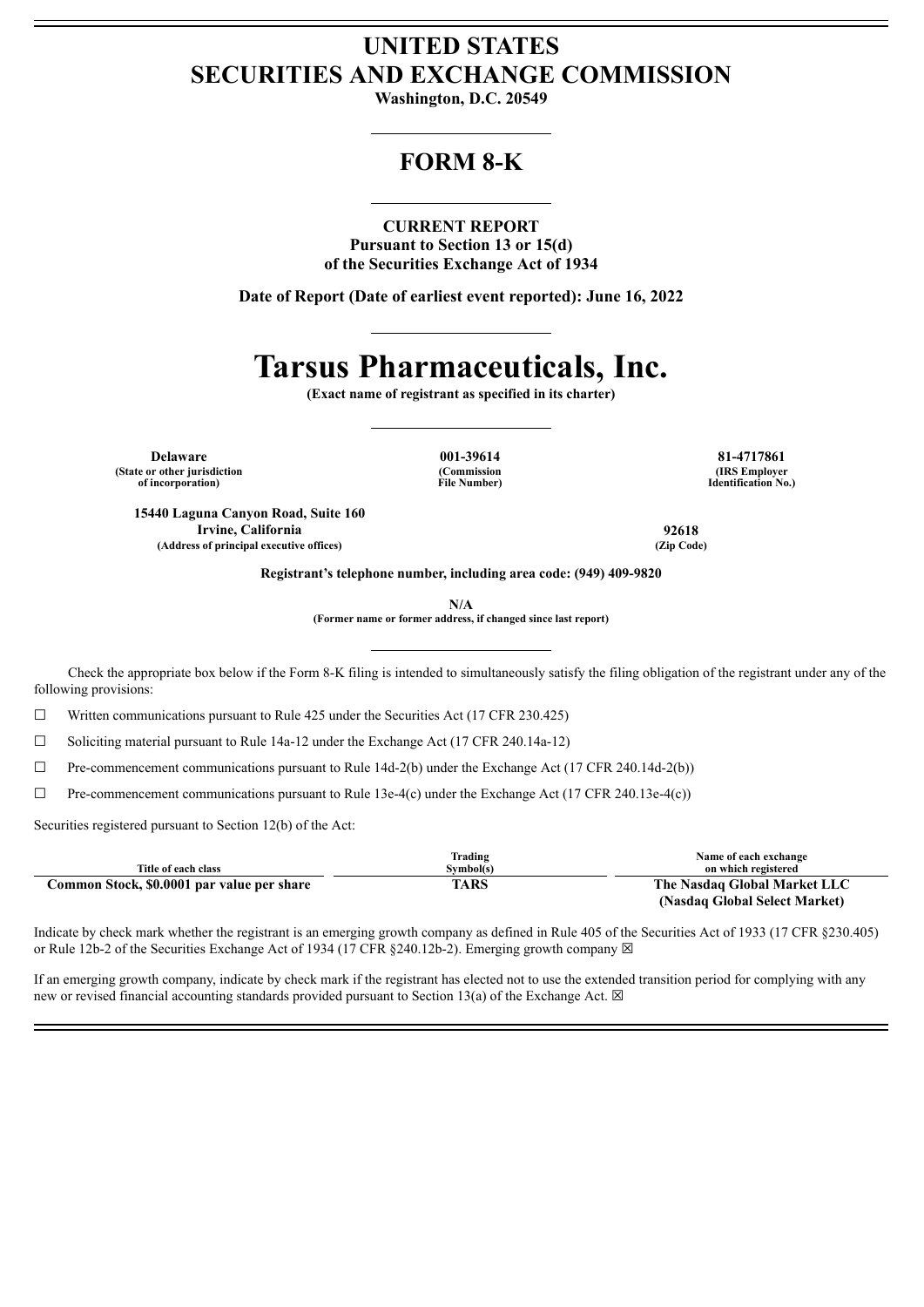## **UNITED STATES SECURITIES AND EXCHANGE COMMISSION**

**Washington, D.C. 20549**

### **FORM 8-K**

#### **CURRENT REPORT**

**Pursuant to Section 13 or 15(d) of the Securities Exchange Act of 1934**

**Date of Report (Date of earliest event reported): June 16, 2022**

# **Tarsus Pharmaceuticals, Inc.**

**(Exact name of registrant as specified in its charter)**

**Delaware 001-39614 81-4717861 (State or other jurisdiction of incorporation)**

**(Commission File Number)**

**(IRS Employer Identification No.)**

**15440 Laguna Canyon Road, Suite 160 Irvine, California 92618 (Address of principal executive offices) (Zip Code)**

**Registrant's telephone number, including area code: (949) 409-9820**

**N/A**

**(Former name or former address, if changed since last report)**

Check the appropriate box below if the Form 8-K filing is intended to simultaneously satisfy the filing obligation of the registrant under any of the following provisions:

☐ Written communications pursuant to Rule 425 under the Securities Act (17 CFR 230.425)

 $\Box$  Soliciting material pursuant to Rule 14a-12 under the Exchange Act (17 CFR 240.14a-12)

 $\Box$  Pre-commencement communications pursuant to Rule 14d-2(b) under the Exchange Act (17 CFR 240.14d-2(b))

 $\Box$  Pre-commencement communications pursuant to Rule 13e-4(c) under the Exchange Act (17 CFR 240.13e-4(c))

Securities registered pursuant to Section 12(b) of the Act:

|                                            | Trading   | Name of each exchange         |
|--------------------------------------------|-----------|-------------------------------|
| Title of each class                        | Symbol(s) | on which registered           |
| Common Stock, \$0.0001 par value per share | TARS      | The Nasdaq Global Market LLC  |
|                                            |           | (Nasdaq Global Select Market) |

Indicate by check mark whether the registrant is an emerging growth company as defined in Rule 405 of the Securities Act of 1933 (17 CFR §230.405) or Rule 12b-2 of the Securities Exchange Act of 1934 (17 CFR  $\S 240.12b-2$ ). Emerging growth company  $\boxtimes$ 

If an emerging growth company, indicate by check mark if the registrant has elected not to use the extended transition period for complying with any new or revised financial accounting standards provided pursuant to Section 13(a) of the Exchange Act.  $\boxtimes$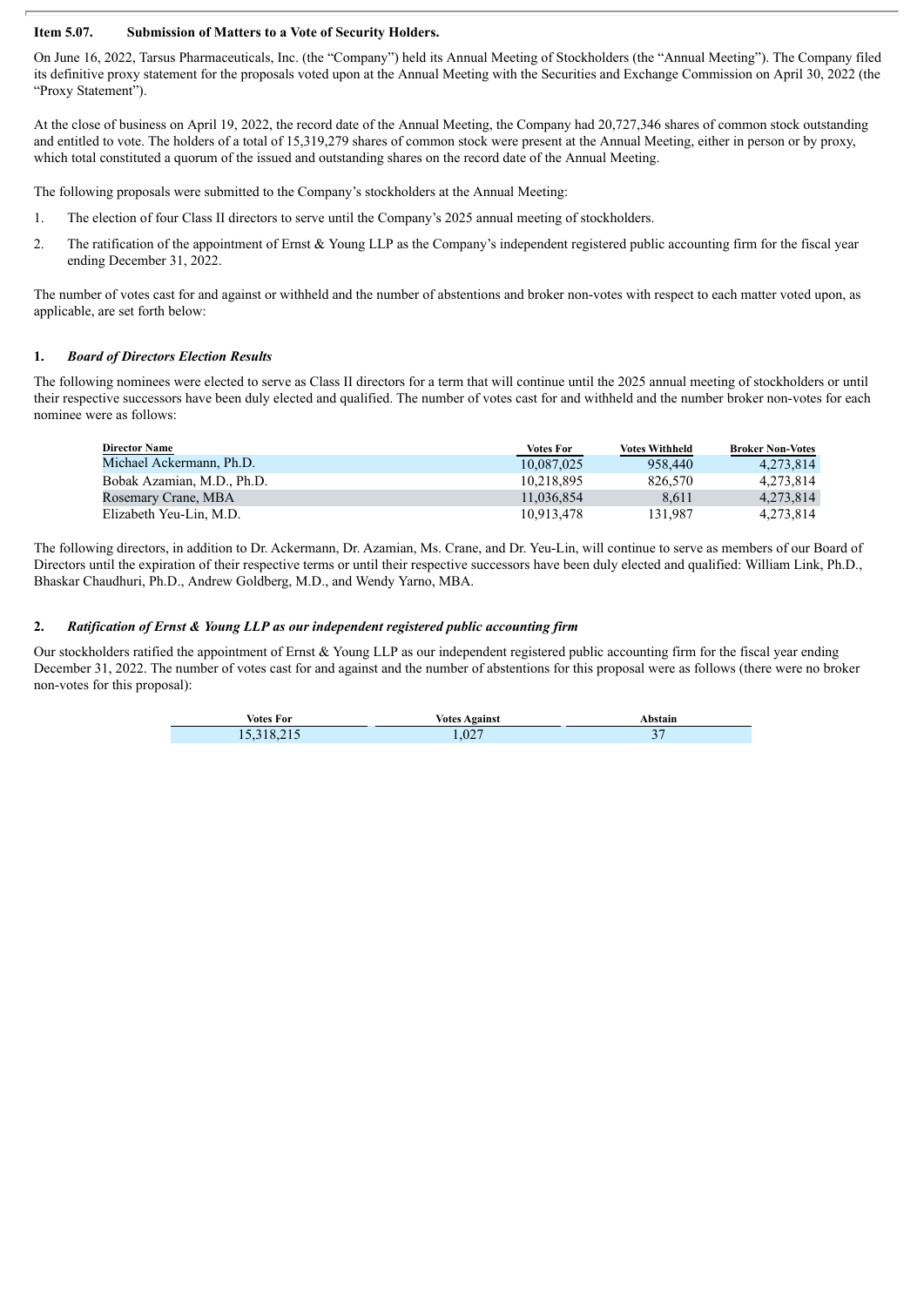### **Item 5.07. Submission of Matters to a Vote of Security Holders.**

On June 16, 2022, Tarsus Pharmaceuticals, Inc. (the "Company") held its Annual Meeting of Stockholders (the "Annual Meeting"). The Company filed its definitive proxy statement for the proposals voted upon at the Annual Meeting with the Securities and Exchange Commission on April 30, 2022 (the "Proxy Statement").

At the close of business on April 19, 2022, the record date of the Annual Meeting, the Company had 20,727,346 shares of common stock outstanding and entitled to vote. The holders of a total of 15,319,279 shares of common stock were present at the Annual Meeting, either in person or by proxy, which total constituted a quorum of the issued and outstanding shares on the record date of the Annual Meeting.

The following proposals were submitted to the Company's stockholders at the Annual Meeting:

- 1. The election of four Class II directors to serve until the Company's 2025 annual meeting of stockholders.
- 2. The ratification of the appointment of Ernst & Young LLP as the Company's independent registered public accounting firm for the fiscal year ending December 31, 2022.

The number of votes cast for and against or withheld and the number of abstentions and broker non-votes with respect to each matter voted upon, as applicable, are set forth below:

### **1.** *Board of Directors Election Results*

The following nominees were elected to serve as Class II directors for a term that will continue until the 2025 annual meeting of stockholders or until their respective successors have been duly elected and qualified. The number of votes cast for and withheld and the number broker non-votes for each nominee were as follows:

| <b>Director Name</b>       | Votes For  | <b>Votes Withheld</b> | <b>Broker Non-Votes</b> |
|----------------------------|------------|-----------------------|-------------------------|
| Michael Ackermann, Ph.D.   | 10.087.025 | 958,440               | 4.273.814               |
| Bobak Azamian, M.D., Ph.D. | 10.218.895 | 826.570               | 4.273.814               |
| Rosemary Crane, MBA        | 11.036.854 | 8.611                 | 4.273.814               |
| Elizabeth Yeu-Lin, M.D.    | 10.913.478 | 131.987               | 4.273.814               |

The following directors, in addition to Dr. Ackermann, Dr. Azamian, Ms. Crane, and Dr. Yeu-Lin, will continue to serve as members of our Board of Directors until the expiration of their respective terms or until their respective successors have been duly elected and qualified: William Link, Ph.D., Bhaskar Chaudhuri, Ph.D., Andrew Goldberg, M.D., and Wendy Yarno, MBA.

### **2.** *Ratification of Ernst & Young LLP as our independent registered public accounting firm*

Our stockholders ratified the appointment of Ernst & Young LLP as our independent registered public accounting firm for the fiscal year ending December 31, 2022. The number of votes cast for and against and the number of abstentions for this proposal were as follows (there were no broker non-votes for this proposal):

| Votes For  | <b>Votes Against</b> | Abstain            |
|------------|----------------------|--------------------|
| 15,318,215 | 1,027                | $\sim$ $\sim$<br>ັ |